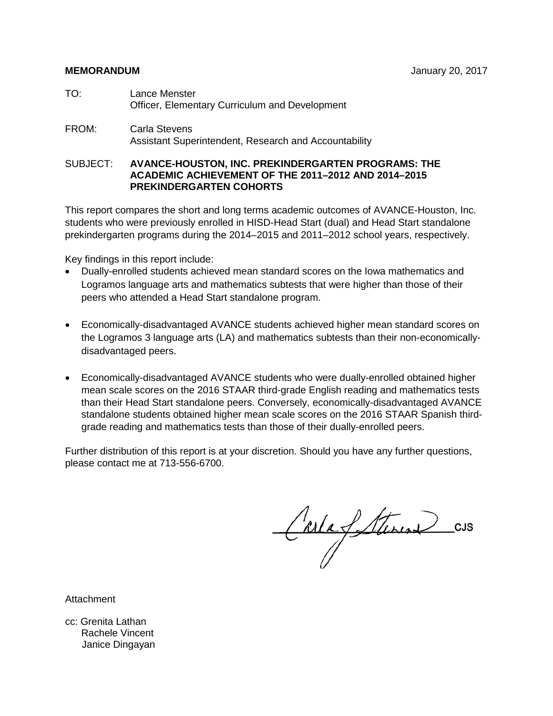- TO: Lance Menster Officer, Elementary Curriculum and Development
- FROM: Carla Stevens Assistant Superintendent, Research and Accountability

# SUBJECT: **AVANCE-HOUSTON, INC. PREKINDERGARTEN PROGRAMS: THE ACADEMIC ACHIEVEMENT OF THE 2011–2012 AND 2014–2015 PREKINDERGARTEN COHORTS**

This report compares the short and long terms academic outcomes of AVANCE-Houston, Inc. students who were previously enrolled in HISD-Head Start (dual) and Head Start standalone prekindergarten programs during the 2014–2015 and 2011–2012 school years, respectively.

Key findings in this report include:

- Dually-enrolled students achieved mean standard scores on the Iowa mathematics and Logramos language arts and mathematics subtests that were higher than those of their peers who attended a Head Start standalone program.
- Economically-disadvantaged AVANCE students achieved higher mean standard scores on the Logramos 3 language arts (LA) and mathematics subtests than their non-economicallydisadvantaged peers.
- Economically-disadvantaged AVANCE students who were dually-enrolled obtained higher mean scale scores on the 2016 STAAR third-grade English reading and mathematics tests than their Head Start standalone peers. Conversely, economically-disadvantaged AVANCE standalone students obtained higher mean scale scores on the 2016 STAAR Spanish thirdgrade reading and mathematics tests than those of their dually-enrolled peers.

Further distribution of this report is at your discretion. Should you have any further questions, please contact me at 713-556-6700.

CarlaSterine CUS

Attachment

cc: Grenita Lathan Rachele Vincent Janice Dingayan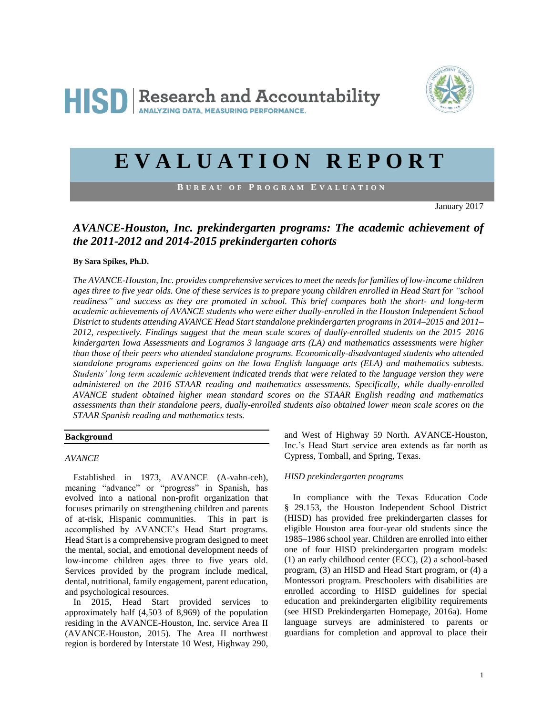

# **E V A L U A T I O N R E P O R T**

**B U R E A U O F P R O G R A M E V A L U A T I O N**

January 2017

# *AVANCE-Houston, Inc. prekindergarten programs: The academic achievement of the 2011-2012 and 2014-2015 prekindergarten cohorts*

#### **By Sara Spikes, Ph.D.**

*The AVANCE-Houston, Inc. provides comprehensive services to meet the needs for families of low-income children ages three to five year olds. One of these services is to prepare young children enrolled in Head Start for "school readiness" and success as they are promoted in school. This brief compares both the short- and long-term academic achievements of AVANCE students who were either dually-enrolled in the Houston Independent School District to students attending AVANCE Head Start standalone prekindergarten programs in 2014–2015 and 2011– 2012, respectively. Findings suggest that the mean scale scores of dually-enrolled students on the 2015–2016 kindergarten Iowa Assessments and Logramos 3 language arts (LA) and mathematics assessments were higher than those of their peers who attended standalone programs. Economically-disadvantaged students who attended standalone programs experienced gains on the Iowa English language arts (ELA) and mathematics subtests. Students' long term academic achievement indicated trends that were related to the language version they were administered on the 2016 STAAR reading and mathematics assessments. Specifically, while dually-enrolled AVANCE student obtained higher mean standard scores on the STAAR English reading and mathematics assessments than their standalone peers, dually-enrolled students also obtained lower mean scale scores on the STAAR Spanish reading and mathematics tests.*

### **Background**

#### *AVANCE*

Established in 1973, AVANCE (A-vahn-ceh), meaning "advance" or "progress" in Spanish, has evolved into a national non-profit organization that focuses primarily on strengthening children and parents of at-risk, Hispanic communities. This in part is accomplished by AVANCE's Head Start programs. Head Start is a comprehensive program designed to meet the mental, social, and emotional development needs of low-income children ages three to five years old. Services provided by the program include medical, dental, nutritional, family engagement, parent education, and psychological resources.

In 2015, Head Start provided services to approximately half (4,503 of 8,969) of the population residing in the AVANCE-Houston, Inc. service Area II (AVANCE-Houston, 2015). The Area II northwest region is bordered by Interstate 10 West, Highway 290,

and West of Highway 59 North. AVANCE-Houston, Inc.'s Head Start service area extends as far north as Cypress, Tomball, and Spring, Texas.

#### *HISD prekindergarten programs*

In compliance with the Texas Education Code § 29.153, the Houston Independent School District (HISD) has provided free prekindergarten classes for eligible Houston area four-year old students since the 1985–1986 school year. Children are enrolled into either one of four HISD prekindergarten program models: (1) an early childhood center (ECC), (2) a school-based program, (3) an HISD and Head Start program, or (4) a Montessori program. Preschoolers with disabilities are enrolled according to HISD guidelines for special education and prekindergarten eligibility requirements (see HISD Prekindergarten Homepage, 2016a). Home language surveys are administered to parents or guardians for completion and approval to place their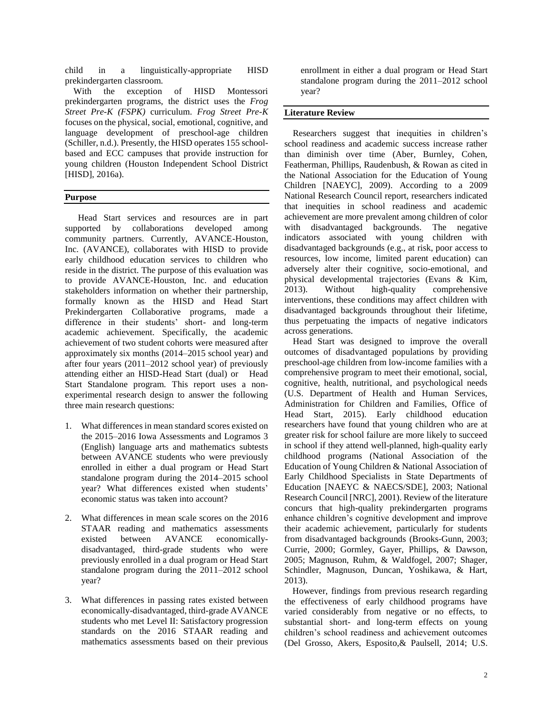child in a linguistically-appropriate HISD prekindergarten classroom.

With the exception of HISD Montessori prekindergarten programs, the district uses the *Frog Street Pre-K (FSPK)* curriculum. *Frog Street Pre-K* focuses on the physical, social, emotional, cognitive, and language development of preschool-age children (Schiller, n.d.). Presently, the HISD operates 155 schoolbased and ECC campuses that provide instruction for young children (Houston Independent School District [HISD], 2016a).

#### **Purpose**

 Head Start services and resources are in part supported by collaborations developed among community partners. Currently, AVANCE-Houston, Inc. (AVANCE), collaborates with HISD to provide early childhood education services to children who reside in the district. The purpose of this evaluation was to provide AVANCE-Houston, Inc. and education stakeholders information on whether their partnership, formally known as the HISD and Head Start Prekindergarten Collaborative programs, made a difference in their students' short- and long-term academic achievement. Specifically, the academic achievement of two student cohorts were measured after approximately six months (2014–2015 school year) and after four years (2011–2012 school year) of previously attending either an HISD-Head Start (dual) or Head Start Standalone program. This report uses a nonexperimental research design to answer the following three main research questions:

- 1. What differences in mean standard scores existed on the 2015–2016 Iowa Assessments and Logramos 3 (English) language arts and mathematics subtests between AVANCE students who were previously enrolled in either a dual program or Head Start standalone program during the 2014–2015 school year? What differences existed when students' economic status was taken into account?
- 2. What differences in mean scale scores on the 2016 STAAR reading and mathematics assessments existed between AVANCE economicallydisadvantaged, third-grade students who were previously enrolled in a dual program or Head Start standalone program during the 2011–2012 school year?
- 3. What differences in passing rates existed between economically-disadvantaged, third-grade AVANCE students who met Level II: Satisfactory progression standards on the 2016 STAAR reading and mathematics assessments based on their previous

enrollment in either a dual program or Head Start standalone program during the 2011–2012 school year?

### **Literature Review**

Researchers suggest that inequities in children's school readiness and academic success increase rather than diminish over time (Aber, Burnley, Cohen, Featherman, Phillips, Raudenbush, & Rowan as cited in the National Association for the Education of Young Children [NAEYC], 2009). According to a 2009 National Research Council report, researchers indicated that inequities in school readiness and academic achievement are more prevalent among children of color with disadvantaged backgrounds. The negative indicators associated with young children with disadvantaged backgrounds (e.g., at risk, poor access to resources, low income, limited parent education) can adversely alter their cognitive, socio-emotional, and physical developmental trajectories (Evans & Kim, 2013). Without high-quality comprehensive interventions, these conditions may affect children with disadvantaged backgrounds throughout their lifetime, thus perpetuating the impacts of negative indicators across generations.

Head Start was designed to improve the overall outcomes of disadvantaged populations by providing preschool-age children from low-income families with a comprehensive program to meet their emotional, social, cognitive, health, nutritional, and psychological needs (U.S. Department of Health and Human Services, Administration for Children and Families, Office of Head Start, 2015). Early childhood education researchers have found that young children who are at greater risk for school failure are more likely to succeed in school if they attend well-planned, high-quality early childhood programs (National Association of the Education of Young Children & National Association of Early Childhood Specialists in State Departments of Education [NAEYC & NAECS/SDE], 2003; National Research Council [NRC], 2001). Review of the literature concurs that high-quality prekindergarten programs enhance children's cognitive development and improve their academic achievement, particularly for students from disadvantaged backgrounds (Brooks-Gunn, 2003; Currie, 2000; Gormley, Gayer, Phillips, & Dawson, 2005; Magnuson, Ruhm, & Waldfogel, 2007; Shager, Schindler, Magnuson, Duncan, Yoshikawa, & Hart, 2013).

However, findings from previous research regarding the effectiveness of early childhood programs have varied considerably from negative or no effects, to substantial short- and long-term effects on young children's school readiness and achievement outcomes (Del Grosso, Akers, Esposito,& Paulsell, 2014; U.S.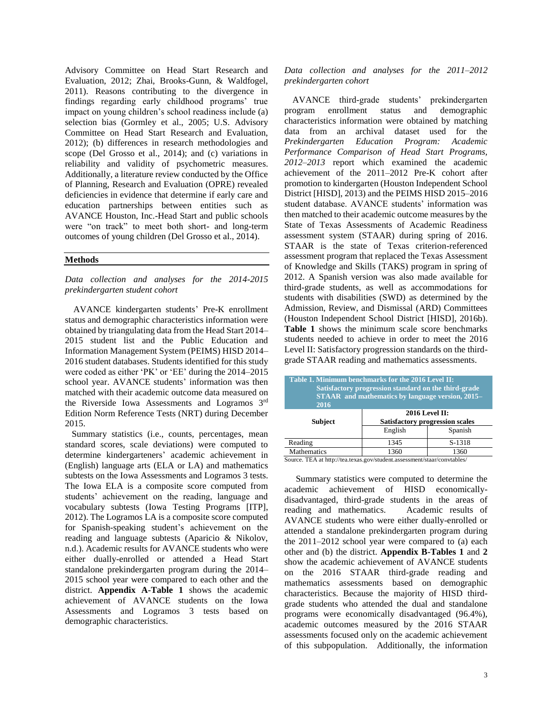Advisory Committee on Head Start Research and Evaluation, 2012; Zhai, Brooks-Gunn, & Waldfogel, 2011). Reasons contributing to the divergence in findings regarding early childhood programs' true impact on young children's school readiness include (a) selection bias (Gormley et al., 2005; U.S. Advisory Committee on Head Start Research and Evaluation, 2012); (b) differences in research methodologies and scope (Del Grosso et al., 2014); and (c) variations in reliability and validity of psychometric measures. Additionally, a literature review conducted by the Office of Planning, Research and Evaluation (OPRE) revealed deficiencies in evidence that determine if early care and education partnerships between entities such as AVANCE Houston, Inc.-Head Start and public schools were "on track" to meet both short- and long-term outcomes of young children (Del Grosso et al., 2014).

#### **Methods**

*Data collection and analyses for the 2014-2015 prekindergarten student cohort*

AVANCE kindergarten students' Pre-K enrollment status and demographic characteristics information were obtained by triangulating data from the Head Start 2014– 2015 student list and the Public Education and Information Management System (PEIMS) HISD 2014– 2016 student databases. Students identified for this study were coded as either 'PK' or 'EE' during the 2014–2015 school year. AVANCE students' information was then matched with their academic outcome data measured on the Riverside Iowa Assessments and Logramos 3rd Edition Norm Reference Tests (NRT) during December 2015.

Summary statistics (i.e., counts, percentages, mean standard scores, scale deviations) were computed to determine kindergarteners' academic achievement in (English) language arts (ELA or LA) and mathematics subtests on the Iowa Assessments and Logramos 3 tests. The Iowa ELA is a composite score computed from students' achievement on the reading, language and vocabulary subtests (Iowa Testing Programs [ITP], 2012). The Logramos LA is a composite score computed for Spanish-speaking student's achievement on the reading and language subtests (Aparicio & Nikolov, n.d.). Academic results for AVANCE students who were either dually-enrolled or attended a Head Start standalone prekindergarten program during the 2014– 2015 school year were compared to each other and the district. **Appendix A-Table 1** shows the academic achievement of AVANCE students on the Iowa Assessments and Logramos 3 tests based on demographic characteristics.

*Data collection and analyses for the 2011–2012 prekindergarten cohort*

AVANCE third-grade students' prekindergarten program enrollment status and demographic characteristics information were obtained by matching data from an archival dataset used for the *Prekindergarten Education Program: Academic Performance Comparison of Head Start Programs, 2012*–*2013* report which examined the academic achievement of the 2011–2012 Pre-K cohort after promotion to kindergarten (Houston Independent School District [HISD], 2013) and the PEIMS HISD 2015–2016 student database. AVANCE students' information was then matched to their academic outcome measures by the State of Texas Assessments of Academic Readiness assessment system (STAAR) during spring of 2016. STAAR is the state of Texas criterion-referenced assessment program that replaced the Texas Assessment of Knowledge and Skills (TAKS) program in spring of 2012. A Spanish version was also made available for third-grade students, as well as accommodations for students with disabilities (SWD) as determined by the Admission, Review, and Dismissal (ARD) Committees (Houston Independent School District [HISD], 2016b). **Table 1** shows the minimum scale score benchmarks students needed to achieve in order to meet the 2016 Level II: Satisfactory progression standards on the thirdgrade STAAR reading and mathematics assessments.

| Table 1. Minimum benchmarks for the 2016 Level II:<br>Satisfactory progression standard on the third-grade<br><b>STAAR</b> and mathematics by language version, 2015–<br>2016 |                                                                            |  |  |  |  |  |  |  |  |  |
|-------------------------------------------------------------------------------------------------------------------------------------------------------------------------------|----------------------------------------------------------------------------|--|--|--|--|--|--|--|--|--|
|                                                                                                                                                                               | <b>2016 Level II:</b><br><b>Satisfactory progression scales</b><br>Spanish |  |  |  |  |  |  |  |  |  |
|                                                                                                                                                                               | S-1318                                                                     |  |  |  |  |  |  |  |  |  |
| 1360                                                                                                                                                                          | 1360                                                                       |  |  |  |  |  |  |  |  |  |
|                                                                                                                                                                               | English<br>1345                                                            |  |  |  |  |  |  |  |  |  |

Source. TEA at http://tea.texas.gov/student.assessment/staar/convtables/

 Summary statistics were computed to determine the academic achievement of HISD economicallydisadvantaged, third-grade students in the areas of reading and mathematics.Academic results of AVANCE students who were either dually-enrolled or attended a standalone prekindergarten program during the 2011–2012 school year were compared to (a) each other and (b) the district. **Appendix B-Tables 1** and **2**  show the academic achievement of AVANCE students on the 2016 STAAR third-grade reading and mathematics assessments based on demographic characteristics. Because the majority of HISD thirdgrade students who attended the dual and standalone programs were economically disadvantaged (96.4%), academic outcomes measured by the 2016 STAAR assessments focused only on the academic achievement of this subpopulation. Additionally, the information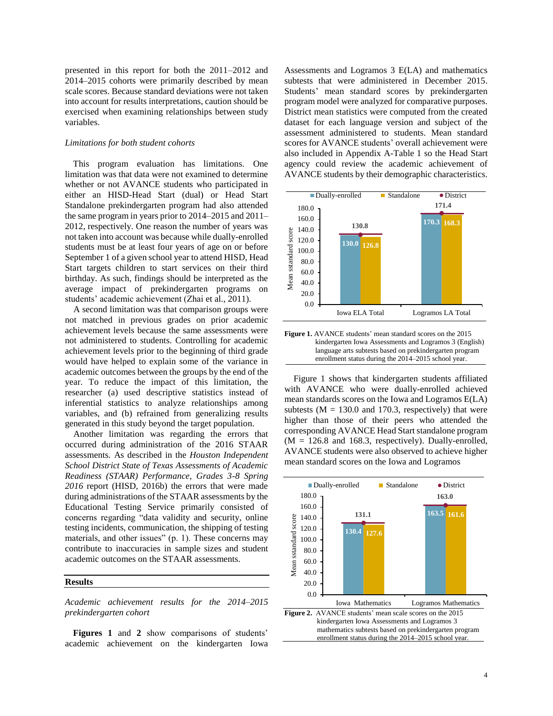presented in this report for both the 2011–2012 and 2014–2015 cohorts were primarily described by mean scale scores. Because standard deviations were not taken into account for results interpretations, caution should be exercised when examining relationships between study variables.

#### *Limitations for both student cohorts*

This program evaluation has limitations. One limitation was that data were not examined to determine whether or not AVANCE students who participated in either an HISD-Head Start (dual) or Head Start Standalone prekindergarten program had also attended the same program in years prior to 2014–2015 and 2011– 2012, respectively. One reason the number of years was not taken into account was because while dually-enrolled students must be at least four years of age on or before September 1 of a given school year to attend HISD, Head Start targets children to start services on their third birthday. As such, findings should be interpreted as the average impact of prekindergarten programs on students' academic achievement (Zhai et al., 2011).

A second limitation was that comparison groups were not matched in previous grades on prior academic achievement levels because the same assessments were not administered to students. Controlling for academic achievement levels prior to the beginning of third grade would have helped to explain some of the variance in academic outcomes between the groups by the end of the year. To reduce the impact of this limitation, the researcher (a) used descriptive statistics instead of inferential statistics to analyze relationships among variables, and (b) refrained from generalizing results generated in this study beyond the target population.

Another limitation was regarding the errors that occurred during administration of the 2016 STAAR assessments. As described in the *Houston Independent School District State of Texas Assessments of Academic Readiness (STAAR) Performance, Grades 3-8 Spring 2016* report (HISD, 2016b) the errors that were made during administrations of the STAAR assessments by the Educational Testing Service primarily consisted of concerns regarding "data validity and security, online testing incidents, communication, the shipping of testing materials, and other issues" (p. 1). These concerns may contribute to inaccuracies in sample sizes and student academic outcomes on the STAAR assessments.

#### **Results**

*Academic achievement results for the 2014–2015 prekindergarten cohort* 

**Figures 1** and **2** show comparisons of students' academic achievement on the kindergarten Iowa Assessments and Logramos 3 E(LA) and mathematics subtests that were administered in December 2015. Students' mean standard scores by prekindergarten program model were analyzed for comparative purposes. District mean statistics were computed from the created dataset for each language version and subject of the assessment administered to students. Mean standard scores for AVANCE students' overall achievement were also included in Appendix A-Table 1 so the Head Start agency could review the academic achievement of AVANCE students by their demographic characteristics.



**Figure 1.** AVANCE students' mean standard scores on the 2015 kindergarten Iowa Assessments and Logramos 3 (English) language arts subtests based on prekindergarten program enrollment status during the 2014–2015 school year.

j

 Figure 1 shows that kindergarten students affiliated with AVANCE who were dually-enrolled achieved mean standards scores on the Iowa and Logramos E(LA) subtests ( $M = 130.0$  and 170.3, respectively) that were higher than those of their peers who attended the corresponding AVANCE Head Start standalone program  $(M = 126.8$  and 168.3, respectively). Dually-enrolled, AVANCE students were also observed to achieve higher mean standard scores on the Iowa and Logramos

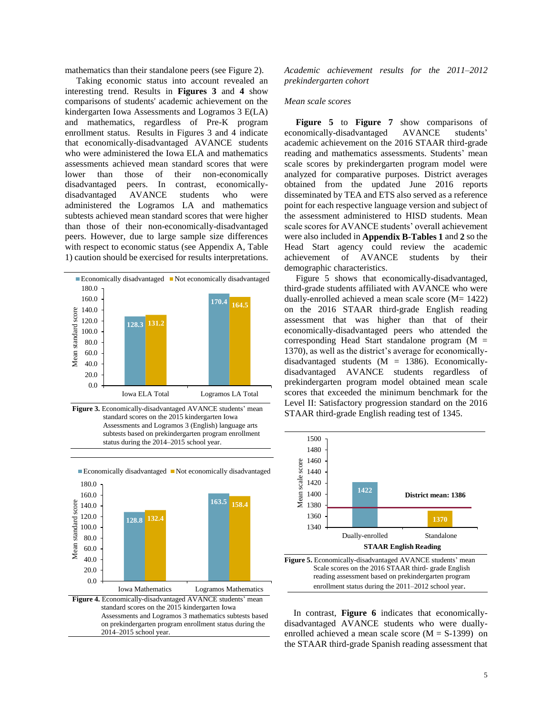mathematics than their standalone peers (see Figure 2).

 Taking economic status into account revealed an interesting trend. Results in **Figures 3** and **4** show comparisons of students' academic achievement on the kindergarten Iowa Assessments and Logramos 3 E(LA) and mathematics, regardless of Pre-K program enrollment status. Results in Figures 3 and 4 indicate that economically-disadvantaged AVANCE students who were administered the Iowa ELA and mathematics assessments achieved mean standard scores that were lower than those of their non-economically disadvantaged peers. In contrast, economicallydisadvantaged AVANCE students who were administered the Logramos LA and mathematics subtests achieved mean standard scores that were higher than those of their non-economically-disadvantaged peers. However, due to large sample size differences with respect to economic status (see Appendix A, Table 1) caution should be exercised for results interpretations.



 **Figure 3.** Economically-disadvantaged AVANCE students' mean standard scores on the 2015 kindergarten Iowa Assessments and Logramos 3 (English) language arts subtests based on prekindergarten program enrollment status during the 2014–2015 school year.



*Academic achievement results for the 2011–2012 prekindergarten cohort*

#### *Mean scale scores*

**Figure 5** to **Figure 7** show comparisons of economically-disadvantaged AVANCE students' academic achievement on the 2016 STAAR third-grade reading and mathematics assessments. Students' mean scale scores by prekindergarten program model were analyzed for comparative purposes. District averages obtained from the updated June 2016 reports disseminated by TEA and ETS also served as a reference point for each respective language version and subject of the assessment administered to HISD students. Mean scale scores for AVANCE students' overall achievement were also included in **Appendix B-Tables 1** and **2** so the Head Start agency could review the academic achievement of AVANCE students by their demographic characteristics.

 Figure 5 shows that economically-disadvantaged, third-grade students affiliated with AVANCE who were dually-enrolled achieved a mean scale score (M= 1422) on the 2016 STAAR third-grade English reading assessment that was higher than that of their economically-disadvantaged peers who attended the corresponding Head Start standalone program  $(M =$ 1370), as well as the district's average for economicallydisadvantaged students  $(M = 1386)$ . Economicallydisadvantaged AVANCE students regardless of prekindergarten program model obtained mean scale scores that exceeded the minimum benchmark for the Level II: Satisfactory progression standard on the 2016 STAAR third-grade English reading test of 1345.



 In contrast, **Figure 6** indicates that economicallydisadvantaged AVANCE students who were duallyenrolled achieved a mean scale score  $(M = S-1399)$  on the STAAR third-grade Spanish reading assessment that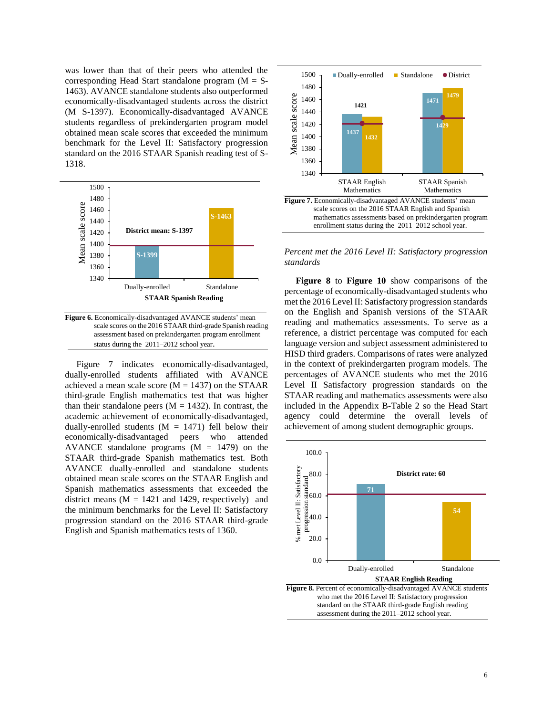was lower than that of their peers who attended the corresponding Head Start standalone program  $(M = S<sub>-</sub>)$ 1463). AVANCE standalone students also outperformed economically-disadvantaged students across the district (M S-1397). Economically-disadvantaged AVANCE students regardless of prekindergarten program model obtained mean scale scores that exceeded the minimum benchmark for the Level II: Satisfactory progression standard on the 2016 STAAR Spanish reading test of S-1318.



**Figure 6.** Economically-disadvantaged AVANCE students' mean scale scores on the 2016 STAAR third-grade Spanish reading assessment based on prekindergarten program enrollment status during the 2011–2012 school year.

 Figure 7 indicates economically-disadvantaged, dually-enrolled students affiliated with AVANCE achieved a mean scale score  $(M = 1437)$  on the STAAR third-grade English mathematics test that was higher than their standalone peers  $(M = 1432)$ . In contrast, the academic achievement of economically-disadvantaged, dually-enrolled students  $(M = 1471)$  fell below their economically-disadvantaged peers who attended AVANCE standalone programs  $(M = 1479)$  on the STAAR third-grade Spanish mathematics test. Both AVANCE dually-enrolled and standalone students obtained mean scale scores on the STAAR English and Spanish mathematics assessments that exceeded the district means  $(M = 1421$  and 1429, respectively) and the minimum benchmarks for the Level II: Satisfactory progression standard on the 2016 STAAR third-grade English and Spanish mathematics tests of 1360.



*Percent met the 2016 Level II: Satisfactory progression standards*

 **Figure 8** to **Figure 10** show comparisons of the percentage of economically-disadvantaged students who met the 2016 Level II: Satisfactory progression standards on the English and Spanish versions of the STAAR reading and mathematics assessments. To serve as a reference, a district percentage was computed for each language version and subject assessment administered to HISD third graders. Comparisons of rates were analyzed in the context of prekindergarten program models. The percentages of AVANCE students who met the 2016 Level II Satisfactory progression standards on the STAAR reading and mathematics assessments were also included in the Appendix B-Table 2 so the Head Start agency could determine the overall levels of achievement of among student demographic groups.

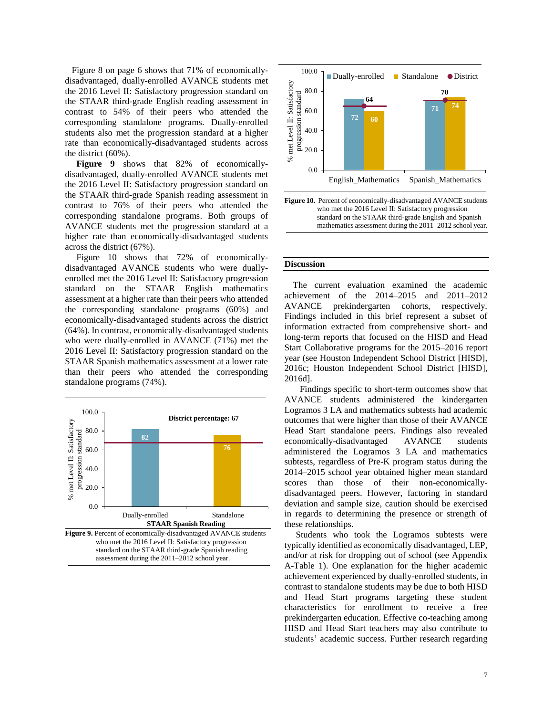Figure 8 on page 6 shows that 71% of economicallydisadvantaged, dually-enrolled AVANCE students met the 2016 Level II: Satisfactory progression standard on the STAAR third-grade English reading assessment in contrast to 54% of their peers who attended the corresponding standalone programs. Dually-enrolled students also met the progression standard at a higher rate than economically-disadvantaged students across the district (60%).

 **Figure 9** shows that 82% of economicallydisadvantaged, dually-enrolled AVANCE students met the 2016 Level II: Satisfactory progression standard on the STAAR third-grade Spanish reading assessment in contrast to 76% of their peers who attended the corresponding standalone programs. Both groups of AVANCE students met the progression standard at a higher rate than economically-disadvantaged students across the district (67%).

 Figure 10 shows that 72% of economicallydisadvantaged AVANCE students who were duallyenrolled met the 2016 Level II: Satisfactory progression standard on the STAAR English mathematics assessment at a higher rate than their peers who attended the corresponding standalone programs (60%) and economically-disadvantaged students across the district (64%). In contrast, economically-disadvantaged students who were dually-enrolled in AVANCE (71%) met the 2016 Level II: Satisfactory progression standard on the STAAR Spanish mathematics assessment at a lower rate than their peers who attended the corresponding standalone programs (74%).







**Figure 10.** Percent of economically-disadvantaged AVANCE students who met the 2016 Level II: Satisfactory progression standard on the STAAR third-grade English and Spanish mathematics assessment during the 2011–2012 school year.

#### **Discussion**

j

The current evaluation examined the academic achievement of the 2014–2015 and 2011–2012 AVANCE prekindergarten cohorts, respectively. Findings included in this brief represent a subset of information extracted from comprehensive short- and long-term reports that focused on the HISD and Head Start Collaborative programs for the 2015–2016 report year (see Houston Independent School District [HISD], 2016c; Houston Independent School District [HISD], 2016d].

 Findings specific to short-term outcomes show that AVANCE students administered the kindergarten Logramos 3 LA and mathematics subtests had academic outcomes that were higher than those of their AVANCE Head Start standalone peers. Findings also revealed economically-disadvantaged AVANCE students administered the Logramos 3 LA and mathematics subtests, regardless of Pre-K program status during the 2014–2015 school year obtained higher mean standard scores than those of their non-economicallydisadvantaged peers. However, factoring in standard deviation and sample size, caution should be exercised in regards to determining the presence or strength of these relationships.

 Students who took the Logramos subtests were typically identified as economically disadvantaged, LEP, and/or at risk for dropping out of school (see Appendix A-Table 1). One explanation for the higher academic achievement experienced by dually-enrolled students, in contrast to standalone students may be due to both HISD and Head Start programs targeting these student characteristics for enrollment to receive a free prekindergarten education. Effective co-teaching among HISD and Head Start teachers may also contribute to students' academic success. Further research regarding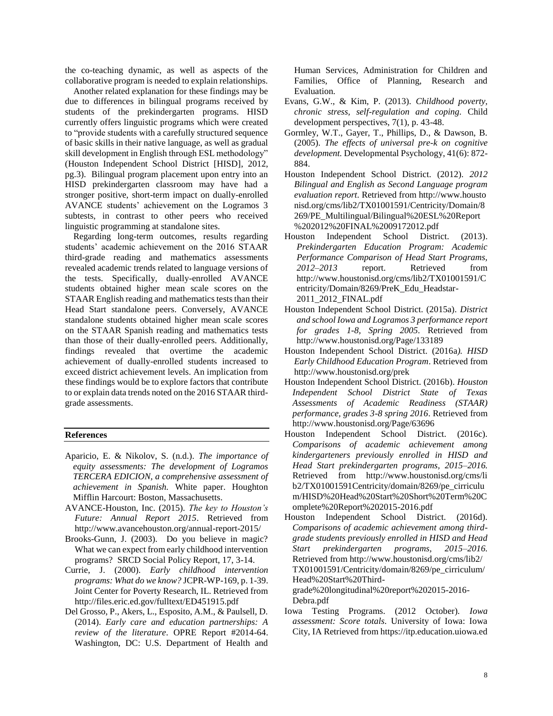the co-teaching dynamic, as well as aspects of the collaborative program is needed to explain relationships.

Another related explanation for these findings may be due to differences in bilingual programs received by students of the prekindergarten programs. HISD currently offers linguistic programs which were created to "provide students with a carefully structured sequence of basic skills in their native language, as well as gradual skill development in English through ESL methodology" (Houston Independent School District [HISD], 2012, pg.3). Bilingual program placement upon entry into an HISD prekindergarten classroom may have had a stronger positive, short-term impact on dually-enrolled AVANCE students' achievement on the Logramos 3 subtests, in contrast to other peers who received linguistic programming at standalone sites.

Regarding long-term outcomes, results regarding students' academic achievement on the 2016 STAAR third-grade reading and mathematics assessments revealed academic trends related to language versions of the tests. Specifically, dually-enrolled AVANCE students obtained higher mean scale scores on the STAAR English reading and mathematics tests than their Head Start standalone peers. Conversely, AVANCE standalone students obtained higher mean scale scores on the STAAR Spanish reading and mathematics tests than those of their dually-enrolled peers. Additionally, findings revealed that overtime the academic achievement of dually-enrolled students increased to exceed district achievement levels. An implication from these findings would be to explore factors that contribute to or explain data trends noted on the 2016 STAAR thirdgrade assessments.

#### **References**

- Aparicio, E. & Nikolov, S. (n.d.). *The importance of equity assessments: The development of Logramos TERCERA EDICION, a comprehensive assessment of achievement in Spanish.* White paper. Houghton Mifflin Harcourt: Boston, Massachusetts.
- AVANCE-Houston, Inc. (2015). *The key to Houston's Future: Annual Report 2015*. Retrieved from http://www.avancehouston.org/annual-report-2015/
- Brooks-Gunn, J. (2003). Do you believe in magic? What we can expect from early childhood intervention programs? SRCD Social Policy Report, 17, 3-14.
- Currie, J. (2000). *Early childhood intervention programs: What do we know?* JCPR-WP-169, p. 1-39. Joint Center for Poverty Research, IL. Retrieved from http://files.eric.ed.gov/fulltext/ED451915.pdf
- Del Grosso, P., Akers, L., Esposito, A.M., & Paulsell, D. (2014). *Early care and education partnerships: A review of the literature*. OPRE Report #2014-64. Washington, DC: U.S. Department of Health and

Human Services, Administration for Children and Families, Office of Planning, Research and Evaluation.

- Evans, G.W., & Kim, P. (2013). *Childhood poverty, chronic stress, self-regulation and coping.* Child development perspectives, 7(1), p. 43-48.
- Gormley, W.T., Gayer, T., Phillips, D., & Dawson, B. (2005). *The effects of universal pre-k on cognitive development.* Developmental Psychology, 41(6): 872- 884.
- Houston Independent School District. (2012). *2012 Bilingual and English as Second Language program evaluation report*. Retrieved from http://www.housto nisd.org/cms/lib2/TX01001591/Centricity/Domain/8 269/PE\_Multilingual/Bilingual%20ESL%20Report %202012%20FINAL%2009172012.pdf
- Houston Independent School District. (2013). *Prekindergarten Education Program: Academic Performance Comparison of Head Start Programs, 2012*–*2013* report. Retrieved from http://www.houstonisd.org/cms/lib2/TX01001591/C entricity/Domain/8269/PreK\_Edu\_Headstar-2011\_2012\_FINAL.pdf
- Houston Independent School District. (2015a). *District and school Iowa and Logramos 3 performance report for grades 1-8, Spring 2005.* Retrieved from http://www.houstonisd.org/Page/133189
- Houston Independent School District. (2016a*). HISD Early Childhood Education Program*. Retrieved from http://www.houstonisd.org/prek
- Houston Independent School District. (2016b). *Houston Independent School District State of Texas Assessments of Academic Readiness (STAAR) performance, grades 3-8 spring 2016*. Retrieved from http://www.houstonisd.org/Page/63696
- Houston Independent School District. (2016c). *Comparisons of academic achievement among kindergarteners previously enrolled in HISD and Head Start prekindergarten programs, 2015–2016.*  Retrieved from http://www.houstonisd.org/cms/li b2/TX01001591Centricity/domain/8269/pe\_cirriculu m/HISD%20Head%20Start%20Short%20Term%20C omplete%20Report%202015-2016.pdf
- Houston Independent School District. (2016d). *Comparisons of academic achievement among thirdgrade students previously enrolled in HISD and Head Start prekindergarten programs, 2015–2016.*  Retrieved from http://www.houstonisd.org/cms/lib2/ TX01001591/Centricity/domain/8269/pe\_cirriculum/ Head%20Start%20Thirdgrade%20longitudinal%20report%202015-2016- Debra.pdf
- Iowa Testing Programs. (2012 October). *Iowa assessment: Score totals*. University of Iowa: Iowa City, IA Retrieved from https://itp.education.uiowa.ed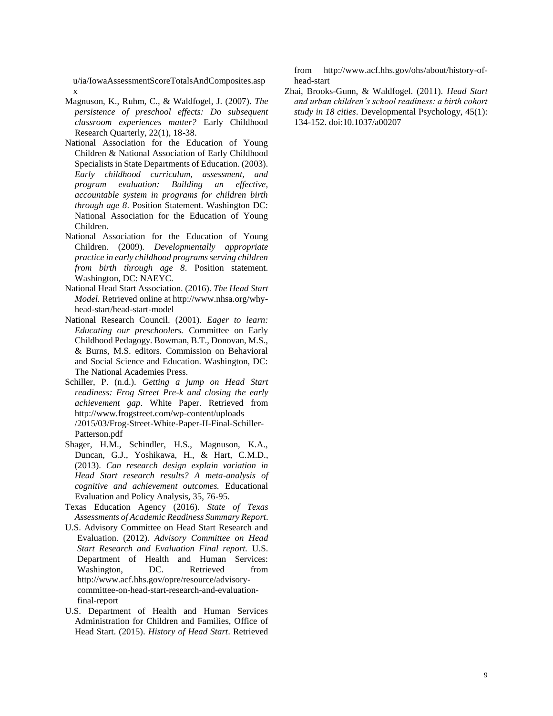u/ia/IowaAssessmentScoreTotalsAndComposites.asp x

- Magnuson, K., Ruhm, C., & Waldfogel, J. (2007). *The persistence of preschool effects: Do subsequent classroom experiences matter?* Early Childhood Research Quarterly, 22(1), 18-38.
- National Association for the Education of Young Children & National Association of Early Childhood Specialists in State Departments of Education. (2003). *Early childhood curriculum, assessment, and program evaluation: Building an effective, accountable system in programs for children birth through age 8*. Position Statement. Washington DC: National Association for the Education of Young Children.
- National Association for the Education of Young Children. (2009). *Developmentally appropriate practice in early childhood programs serving children from birth through age 8*. Position statement. Washington, DC: NAEYC.
- National Head Start Association. (2016). *The Head Start Model.* Retrieved online at http://www.nhsa.org/whyhead-start/head-start-model
- National Research Council. (2001). *Eager to learn: Educating our preschoolers.* Committee on Early Childhood Pedagogy. Bowman, B.T., Donovan, M.S., & Burns, M.S. editors. Commission on Behavioral and Social Science and Education. Washington, DC: The National Academies Press.
- Schiller, P. (n.d.). *Getting a jump on Head Start readiness: Frog Street Pre-k and closing the early achievement gap*. White Paper. Retrieved from http://www.frogstreet.com/wp-content/uploads /2015/03/Frog-Street-White-Paper-II-Final-Schiller-Patterson.pdf
- Shager, H.M., Schindler, H.S., Magnuson, K.A., Duncan, G.J., Yoshikawa, H., & Hart, C.M.D., (2013). *Can research design explain variation in Head Start research results? A meta-analysis of cognitive and achievement outcomes.* Educational Evaluation and Policy Analysis, 35, 76-95.
- Texas Education Agency (2016). *State of Texas Assessments of Academic Readiness Summary Report*.
- U.S. Advisory Committee on Head Start Research and Evaluation. (2012). *Advisory Committee on Head Start Research and Evaluation Final report.* U.S. Department of Health and Human Services: Washington, DC. Retrieved from http://www.acf.hhs.gov/opre/resource/advisorycommittee-on-head-start-research-and-evaluationfinal-report
- U.S. Department of Health and Human Services Administration for Children and Families, Office of Head Start. (2015). *History of Head Start*. Retrieved

from http://www.acf.hhs.gov/ohs/about/history-ofhead-start

Zhai, Brooks-Gunn, & Waldfogel. (2011). *Head Start and urban children's school readiness: a birth cohort study in 18 cities*. Developmental Psychology, 45(1): 134-152. doi:10.1037/a00207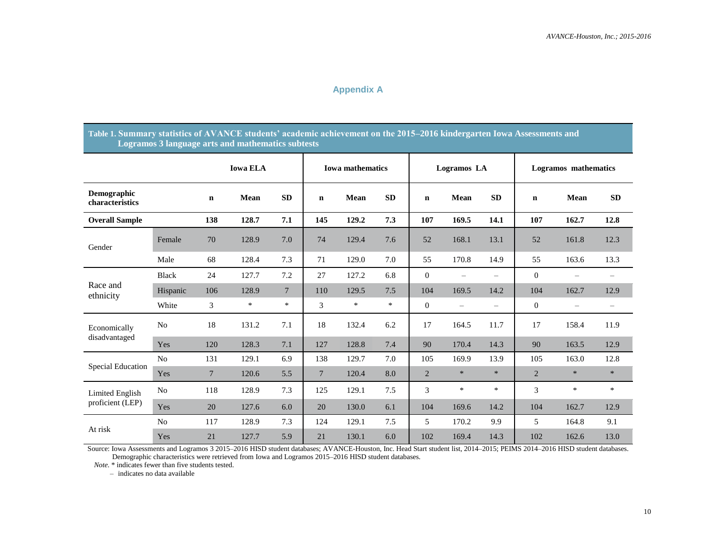# **Appendix A**

## **Table 1. Summary statistics of AVANCE students' academic achievement on the 2015–2016 kindergarten Iowa Assessments and Logramos 3 language arts and mathematics subtests**

|                                |                |                 | <b>Iowa ELA</b> |                 | <b>Iowa mathematics</b> |        |           |                | Logramos LA              |                          | <b>Logramos</b> mathematics |                          |                   |
|--------------------------------|----------------|-----------------|-----------------|-----------------|-------------------------|--------|-----------|----------------|--------------------------|--------------------------|-----------------------------|--------------------------|-------------------|
| Demographic<br>characteristics |                | $\mathbf n$     | Mean            | <b>SD</b>       | $\mathbf n$             | Mean   | <b>SD</b> | $\mathbf n$    | Mean                     | <b>SD</b>                | n                           | <b>Mean</b>              | <b>SD</b>         |
| <b>Overall Sample</b>          |                | 138             | 128.7           | 7.1             | 145                     | 129.2  | 7.3       | 107            | 169.5                    | 14.1                     | 107                         | 162.7                    | 12.8              |
| Gender                         | Female         | 70              | 128.9           | 7.0             | 74                      | 129.4  | 7.6       | 52             | 168.1                    | 13.1                     | 52                          | 161.8                    | 12.3              |
|                                | Male           | 68              | 128.4           | 7.3             | 71                      | 129.0  | 7.0       | 55             | 170.8                    | 14.9                     | 55                          | 163.6                    | 13.3              |
| Race and<br>ethnicity          | <b>Black</b>   | 24              | 127.7           | 7.2             | 27                      | 127.2  | 6.8       | $\mathbf{0}$   | $\overline{\phantom{0}}$ | $\overline{\phantom{0}}$ | $\mathbf{0}$                |                          |                   |
|                                | Hispanic       | 106             | 128.9           | $7\phantom{.0}$ | 110                     | 129.5  | 7.5       | 104            | 169.5                    | 14.2                     | 104                         | 162.7                    | 12.9              |
|                                | White          | 3               | $\ast$          | $\ast$          | 3                       | $\ast$ | $\ast$    | $\theta$       | $\overline{\phantom{m}}$ | $\qquad \qquad -$        | $\overline{0}$              | $\overline{\phantom{0}}$ | $\qquad \qquad -$ |
| Economically                   | N <sub>o</sub> | 18              | 131.2           | 7.1             | 18                      | 132.4  | 6.2       | 17             | 164.5                    | 11.7                     | 17                          | 158.4                    | 11.9              |
| disadvantaged                  | Yes            | 120             | 128.3           | 7.1             | 127                     | 128.8  | 7.4       | 90             | 170.4                    | 14.3                     | 90                          | 163.5                    | 12.9              |
|                                | N <sub>o</sub> | 131             | 129.1           | 6.9             | 138                     | 129.7  | 7.0       | 105            | 169.9                    | 13.9                     | 105                         | 163.0                    | 12.8              |
| <b>Special Education</b>       | Yes            | $7\phantom{.0}$ | 120.6           | 5.5             | $7\phantom{.0}$         | 120.4  | 8.0       | $\overline{2}$ | $\ast$                   | $\ast$                   | $\overline{2}$              | $\ast$                   | $\ast$            |
| Limited English                | N <sub>o</sub> | 118             | 128.9           | 7.3             | 125                     | 129.1  | 7.5       | 3              | $\ast$                   | $\ast$                   | 3                           | $\ast$                   | $\ast$            |
| proficient (LEP)               | Yes            | 20              | 127.6           | 6.0             | 20                      | 130.0  | 6.1       | 104            | 169.6                    | 14.2                     | 104                         | 162.7                    | 12.9              |
| At risk                        | N <sub>o</sub> | 117             | 128.9           | 7.3             | 124                     | 129.1  | 7.5       | 5              | 170.2                    | 9.9                      | 5                           | 164.8                    | 9.1               |
|                                | Yes            | 21              | 127.7           | 5.9             | 21                      | 130.1  | 6.0       | 102            | 169.4                    | 14.3                     | 102                         | 162.6                    | 13.0              |

Source: Iowa Assessments and Logramos 3 2015–2016 HISD student databases; AVANCE-Houston, Inc. Head Start student list, 2014–2015; PEIMS 2014–2016 HISD student databases. Demographic characteristics were retrieved from Iowa and Logramos 2015–2016 HISD student databases.

 *Note*. \* indicates fewer than five students tested.

– indicates no data available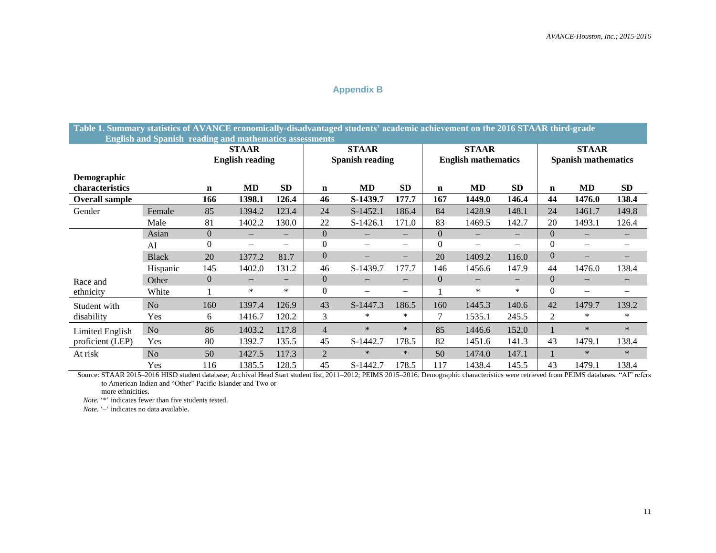# **Appendix B**

**Table 1. Summary statistics of AVANCE economically-disadvantaged students' academic achievement on the 2016 STAAR third-grade English and Spanish reading and mathematics assessments**

|                                       | $\mathbf{r}$   |                | <b>STAAR</b><br><b>English reading</b> |           |                | <b>STAAR</b><br><b>Spanish reading</b> |                          |             | <b>STAAR</b><br><b>English mathematics</b> |                          | <b>STAAR</b><br><b>Spanish mathematics</b> |                          |                        |
|---------------------------------------|----------------|----------------|----------------------------------------|-----------|----------------|----------------------------------------|--------------------------|-------------|--------------------------------------------|--------------------------|--------------------------------------------|--------------------------|------------------------|
| <b>Demographic</b><br>characteristics |                | n              | MD                                     | <b>SD</b> | $\mathbf n$    | MD                                     | <b>SD</b>                | $\mathbf n$ | <b>MD</b>                                  | <b>SD</b>                | $\mathbf n$                                | MD                       | SD                     |
| <b>Overall sample</b>                 |                | 166            | 1398.1                                 | 126.4     | 46             | S-1439.7                               | 177.7                    | 167         | 1449.0                                     | 146.4                    | 44                                         | 1476.0                   | 138.4                  |
| Gender                                | Female         | 85             | 1394.2                                 | 123.4     | 24             | $S-1452.1$                             | 186.4                    | 84          | 1428.9                                     | 148.1                    | 24                                         | 1461.7                   | 149.8                  |
|                                       | Male           | 81             | 1402.2                                 | 130.0     | 22             | $S-1426.1$                             | 171.0                    | 83          | 1469.5                                     | 142.7                    | 20                                         | 1493.1                   | 126.4                  |
|                                       | Asian          | $\overline{0}$ | $\qquad \qquad -$                      |           | $\overline{0}$ | $\overline{\phantom{m}}$               | $\overline{\phantom{0}}$ | $\Omega$    | $\overline{\phantom{m}}$                   | $\overline{\phantom{m}}$ | $\theta$                                   |                          | $\qquad \qquad \qquad$ |
|                                       | AI             | 0              | $\overline{\phantom{0}}$               | —         | $\overline{0}$ | $\overline{\phantom{m}}$               | $\overline{\phantom{0}}$ | $\Omega$    |                                            | —                        | $\boldsymbol{0}$                           |                          |                        |
|                                       | <b>Black</b>   | 20             | 1377.2                                 | 81.7      | $\overline{0}$ | $\overline{\phantom{m}}$               | $\qquad \qquad -$        | 20          | 1409.2                                     | 116.0                    | $\boldsymbol{0}$                           | $\overline{\phantom{m}}$ | —                      |
|                                       | Hispanic       | 145            | 1402.0                                 | 131.2     | 46             | S-1439.7                               | 177.7                    | 146         | 1456.6                                     | 147.9                    | 44                                         | 1476.0                   | 138.4                  |
| Race and                              | Other          | $\overline{0}$ | $\overline{\phantom{m}}$               | —         | $\Omega$       | $\overline{\phantom{m}}$               |                          | $\Omega$    |                                            | $\overline{\phantom{m}}$ | $\boldsymbol{0}$                           |                          |                        |
| ethnicity                             | White          |                | $\ast$                                 | $\ast$    | $\theta$       | —                                      | —                        |             | $\ast$                                     | ∗                        | $\Omega$                                   | $\overline{\phantom{m}}$ |                        |
| Student with                          | N <sub>o</sub> | 160            | 1397.4                                 | 126.9     | 43             | S-1447.3                               | 186.5                    | 160         | 1445.3                                     | 140.6                    | 42                                         | 1479.7                   | 139.2                  |
| disability                            | Yes            | 6              | 1416.7                                 | 120.2     | 3              | $\ast$                                 | *                        | 7           | 1535.1                                     | 245.5                    | $\overline{2}$                             | $\ast$                   | $\ast$                 |
| Limited English                       | N <sub>o</sub> | 86             | 1403.2                                 | 117.8     | 4              | $\ast$                                 | $\ast$                   | 85          | 1446.6                                     | 152.0                    | $\mathbf{1}$                               | $\ast$                   | $\ast$                 |
| proficient (LEP)                      | Yes            | 80             | 1392.7                                 | 135.5     | 45             | S-1442.7                               | 178.5                    | 82          | 1451.6                                     | 141.3                    | 43                                         | 1479.1                   | 138.4                  |
| At risk                               | N <sub>o</sub> | 50             | 1427.5                                 | 117.3     | $\overline{2}$ | $\ast$                                 | $\ast$                   | 50          | 1474.0                                     | 147.1                    |                                            | $\ast$                   | $\ast$                 |
|                                       | Yes            | 116            | 1385.5                                 | 128.5     | 45             | S-1442.7                               | 178.5                    | 117         | 1438.4                                     | 145.5                    | 43                                         | 1479.1                   | 138.4                  |

Source: STAAR 2015-2016 HISD student database; Archival Head Start student list, 2011-2012; PEIMS 2015-2016. Demographic characteristics were retrieved from PEIMS databases. "AI" refers to American Indian and "Other" Pacific Islander and Two or

more ethnicities.

*Note.* '\*' indicates fewer than five students tested.

*Note*. '–' indicates no data available.